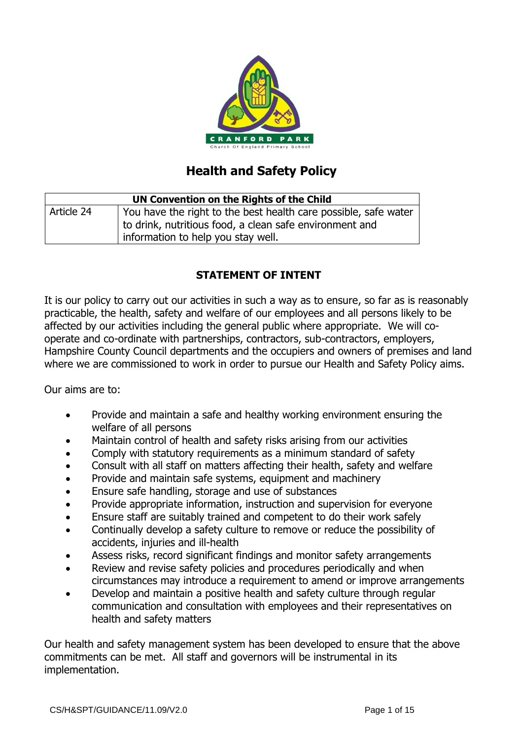

# **Health and Safety Policy**

| UN Convention on the Rights of the Child |                                                                                                                                                                  |  |
|------------------------------------------|------------------------------------------------------------------------------------------------------------------------------------------------------------------|--|
| Article 24                               | You have the right to the best health care possible, safe water<br>to drink, nutritious food, a clean safe environment and<br>information to help you stay well. |  |

# **STATEMENT OF INTENT**

It is our policy to carry out our activities in such a way as to ensure, so far as is reasonably practicable, the health, safety and welfare of our employees and all persons likely to be affected by our activities including the general public where appropriate. We will cooperate and co-ordinate with partnerships, contractors, sub-contractors, employers, Hampshire County Council departments and the occupiers and owners of premises and land where we are commissioned to work in order to pursue our Health and Safety Policy aims.

Our aims are to:

- Provide and maintain a safe and healthy working environment ensuring the welfare of all persons
- Maintain control of health and safety risks arising from our activities
- Comply with statutory requirements as a minimum standard of safety
- Consult with all staff on matters affecting their health, safety and welfare
- Provide and maintain safe systems, equipment and machinery
- Ensure safe handling, storage and use of substances
- Provide appropriate information, instruction and supervision for everyone
- Ensure staff are suitably trained and competent to do their work safely
- Continually develop a safety culture to remove or reduce the possibility of accidents, injuries and ill-health
- Assess risks, record significant findings and monitor safety arrangements
- Review and revise safety policies and procedures periodically and when circumstances may introduce a requirement to amend or improve arrangements
- Develop and maintain a positive health and safety culture through regular communication and consultation with employees and their representatives on health and safety matters

Our health and safety management system has been developed to ensure that the above commitments can be met. All staff and governors will be instrumental in its implementation.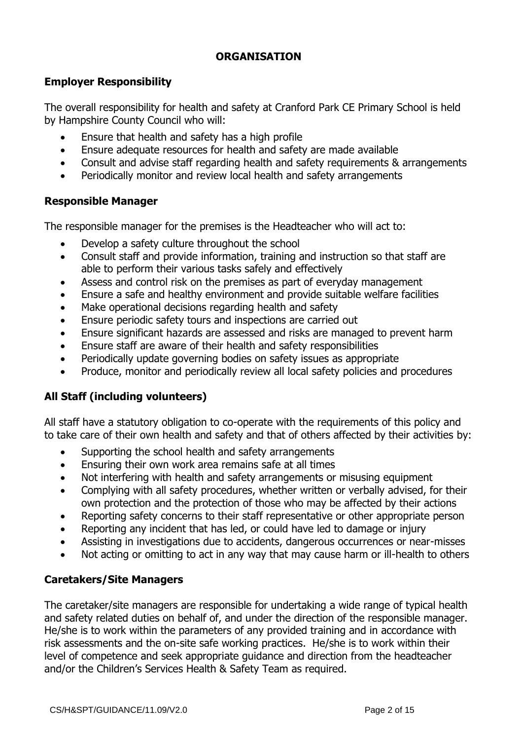## **ORGANISATION**

## **Employer Responsibility**

The overall responsibility for health and safety at Cranford Park CE Primary School is held by Hampshire County Council who will:

- Ensure that health and safety has a high profile
- Ensure adequate resources for health and safety are made available
- Consult and advise staff regarding health and safety requirements & arrangements
- Periodically monitor and review local health and safety arrangements

## **Responsible Manager**

The responsible manager for the premises is the Headteacher who will act to:

- Develop a safety culture throughout the school
- Consult staff and provide information, training and instruction so that staff are able to perform their various tasks safely and effectively
- Assess and control risk on the premises as part of everyday management
- Ensure a safe and healthy environment and provide suitable welfare facilities
- Make operational decisions regarding health and safety
- Ensure periodic safety tours and inspections are carried out
- Ensure significant hazards are assessed and risks are managed to prevent harm
- Ensure staff are aware of their health and safety responsibilities
- Periodically update governing bodies on safety issues as appropriate
- Produce, monitor and periodically review all local safety policies and procedures

# **All Staff (including volunteers)**

All staff have a statutory obligation to co-operate with the requirements of this policy and to take care of their own health and safety and that of others affected by their activities by:

- Supporting the school health and safety arrangements
- Ensuring their own work area remains safe at all times
- Not interfering with health and safety arrangements or misusing equipment
- Complying with all safety procedures, whether written or verbally advised, for their own protection and the protection of those who may be affected by their actions
- Reporting safety concerns to their staff representative or other appropriate person
- Reporting any incident that has led, or could have led to damage or injury
- Assisting in investigations due to accidents, dangerous occurrences or near-misses
- Not acting or omitting to act in any way that may cause harm or ill-health to others

## **Caretakers/Site Managers**

The caretaker/site managers are responsible for undertaking a wide range of typical health and safety related duties on behalf of, and under the direction of the responsible manager. He/she is to work within the parameters of any provided training and in accordance with risk assessments and the on-site safe working practices. He/she is to work within their level of competence and seek appropriate guidance and direction from the headteacher and/or the Children's Services Health & Safety Team as required.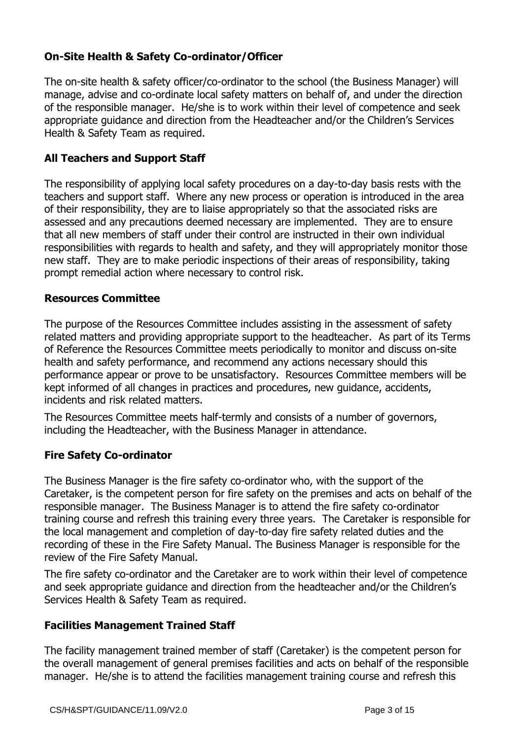# **On-Site Health & Safety Co-ordinator/Officer**

The on-site health & safety officer/co-ordinator to the school (the Business Manager) will manage, advise and co-ordinate local safety matters on behalf of, and under the direction of the responsible manager. He/she is to work within their level of competence and seek appropriate guidance and direction from the Headteacher and/or the Children's Services Health & Safety Team as required.

#### **All Teachers and Support Staff**

The responsibility of applying local safety procedures on a day-to-day basis rests with the teachers and support staff. Where any new process or operation is introduced in the area of their responsibility, they are to liaise appropriately so that the associated risks are assessed and any precautions deemed necessary are implemented. They are to ensure that all new members of staff under their control are instructed in their own individual responsibilities with regards to health and safety, and they will appropriately monitor those new staff. They are to make periodic inspections of their areas of responsibility, taking prompt remedial action where necessary to control risk.

#### **Resources Committee**

The purpose of the Resources Committee includes assisting in the assessment of safety related matters and providing appropriate support to the headteacher. As part of its Terms of Reference the Resources Committee meets periodically to monitor and discuss on-site health and safety performance, and recommend any actions necessary should this performance appear or prove to be unsatisfactory. Resources Committee members will be kept informed of all changes in practices and procedures, new guidance, accidents, incidents and risk related matters.

The Resources Committee meets half-termly and consists of a number of governors, including the Headteacher, with the Business Manager in attendance.

#### **Fire Safety Co-ordinator**

The Business Manager is the fire safety co-ordinator who, with the support of the Caretaker, is the competent person for fire safety on the premises and acts on behalf of the responsible manager. The Business Manager is to attend the fire safety co-ordinator training course and refresh this training every three years. The Caretaker is responsible for the local management and completion of day-to-day fire safety related duties and the recording of these in the Fire Safety Manual. The Business Manager is responsible for the review of the Fire Safety Manual.

The fire safety co-ordinator and the Caretaker are to work within their level of competence and seek appropriate guidance and direction from the headteacher and/or the Children's Services Health & Safety Team as required.

#### **Facilities Management Trained Staff**

The facility management trained member of staff (Caretaker) is the competent person for the overall management of general premises facilities and acts on behalf of the responsible manager. He/she is to attend the facilities management training course and refresh this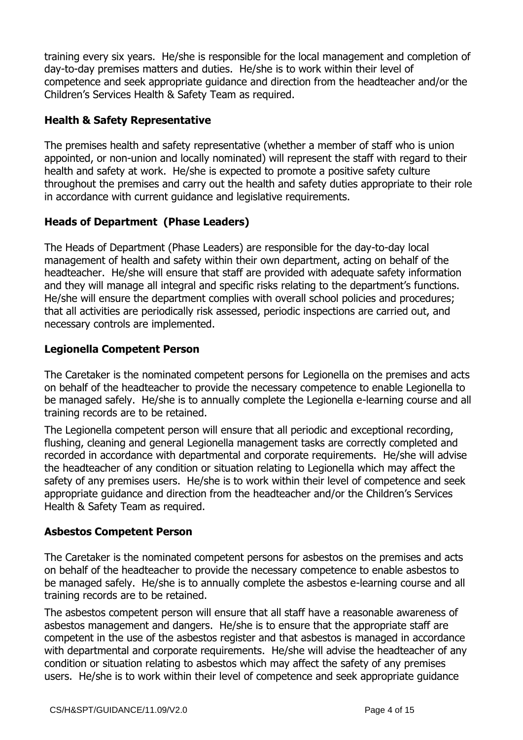training every six years. He/she is responsible for the local management and completion of day-to-day premises matters and duties. He/she is to work within their level of competence and seek appropriate guidance and direction from the headteacher and/or the Children's Services Health & Safety Team as required.

# **Health & Safety Representative**

The premises health and safety representative (whether a member of staff who is union appointed, or non-union and locally nominated) will represent the staff with regard to their health and safety at work. He/she is expected to promote a positive safety culture throughout the premises and carry out the health and safety duties appropriate to their role in accordance with current guidance and legislative requirements.

# **Heads of Department (Phase Leaders)**

The Heads of Department (Phase Leaders) are responsible for the day-to-day local management of health and safety within their own department, acting on behalf of the headteacher. He/she will ensure that staff are provided with adequate safety information and they will manage all integral and specific risks relating to the department's functions. He/she will ensure the department complies with overall school policies and procedures; that all activities are periodically risk assessed, periodic inspections are carried out, and necessary controls are implemented.

## **Legionella Competent Person**

The Caretaker is the nominated competent persons for Legionella on the premises and acts on behalf of the headteacher to provide the necessary competence to enable Legionella to be managed safely. He/she is to annually complete the Legionella e-learning course and all training records are to be retained.

The Legionella competent person will ensure that all periodic and exceptional recording, flushing, cleaning and general Legionella management tasks are correctly completed and recorded in accordance with departmental and corporate requirements. He/she will advise the headteacher of any condition or situation relating to Legionella which may affect the safety of any premises users. He/she is to work within their level of competence and seek appropriate guidance and direction from the headteacher and/or the Children's Services Health & Safety Team as required.

## **Asbestos Competent Person**

The Caretaker is the nominated competent persons for asbestos on the premises and acts on behalf of the headteacher to provide the necessary competence to enable asbestos to be managed safely. He/she is to annually complete the asbestos e-learning course and all training records are to be retained.

The asbestos competent person will ensure that all staff have a reasonable awareness of asbestos management and dangers. He/she is to ensure that the appropriate staff are competent in the use of the asbestos register and that asbestos is managed in accordance with departmental and corporate requirements. He/she will advise the headteacher of any condition or situation relating to asbestos which may affect the safety of any premises users. He/she is to work within their level of competence and seek appropriate guidance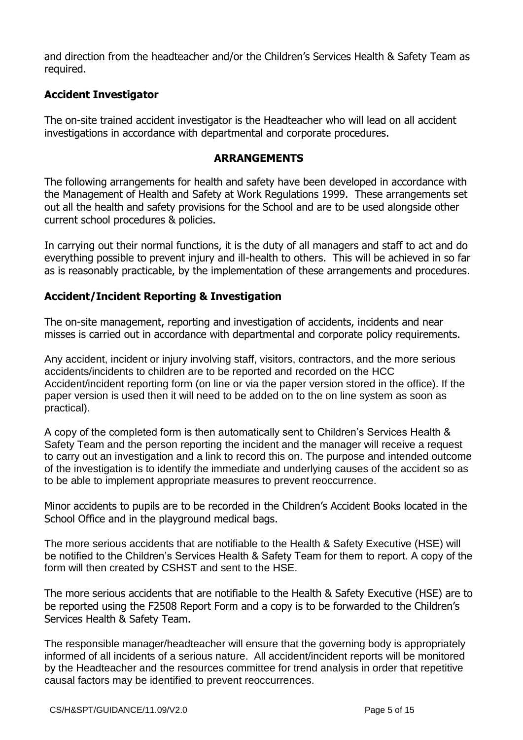and direction from the headteacher and/or the Children's Services Health & Safety Team as required.

## **Accident Investigator**

The on-site trained accident investigator is the Headteacher who will lead on all accident investigations in accordance with departmental and corporate procedures.

#### **ARRANGEMENTS**

The following arrangements for health and safety have been developed in accordance with the Management of Health and Safety at Work Regulations 1999. These arrangements set out all the health and safety provisions for the School and are to be used alongside other current school procedures & policies.

In carrying out their normal functions, it is the duty of all managers and staff to act and do everything possible to prevent injury and ill-health to others. This will be achieved in so far as is reasonably practicable, by the implementation of these arrangements and procedures.

## **Accident/Incident Reporting & Investigation**

The on-site management, reporting and investigation of accidents, incidents and near misses is carried out in accordance with departmental and corporate policy requirements.

Any accident, incident or injury involving staff, visitors, contractors, and the more serious accidents/incidents to children are to be reported and recorded on the HCC Accident/incident reporting form (on line or via the paper version stored in the office). If the paper version is used then it will need to be added on to the on line system as soon as practical).

A copy of the completed form is then automatically sent to Children's Services Health & Safety Team and the person reporting the incident and the manager will receive a request to carry out an investigation and a link to record this on. The purpose and intended outcome of the investigation is to identify the immediate and underlying causes of the accident so as to be able to implement appropriate measures to prevent reoccurrence.

Minor accidents to pupils are to be recorded in the Children's Accident Books located in the School Office and in the playground medical bags.

The more serious accidents that are notifiable to the Health & Safety Executive (HSE) will be notified to the Children's Services Health & Safety Team for them to report. A copy of the form will then created by CSHST and sent to the HSE.

The more serious accidents that are notifiable to the Health & Safety Executive (HSE) are to be reported using the F2508 Report Form and a copy is to be forwarded to the Children's Services Health & Safety Team.

The responsible manager/headteacher will ensure that the governing body is appropriately informed of all incidents of a serious nature. All accident/incident reports will be monitored by the Headteacher and the resources committee for trend analysis in order that repetitive causal factors may be identified to prevent reoccurrences.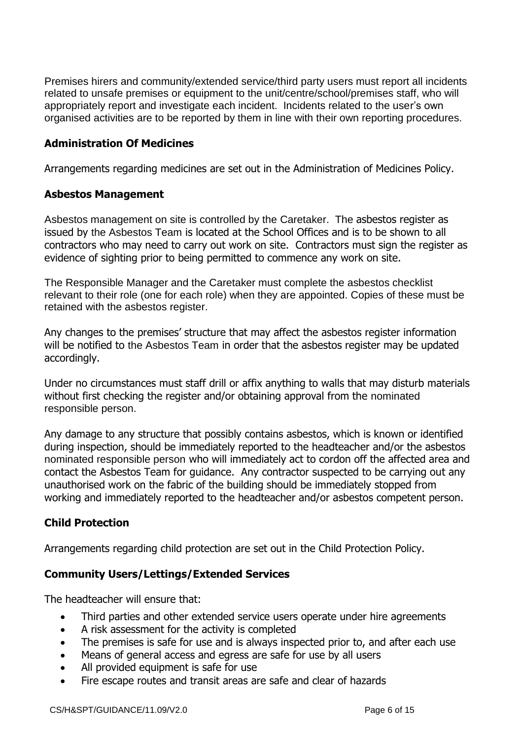Premises hirers and community/extended service/third party users must report all incidents related to unsafe premises or equipment to the unit/centre/school/premises staff, who will appropriately report and investigate each incident. Incidents related to the user's own organised activities are to be reported by them in line with their own reporting procedures.

## **Administration Of Medicines**

Arrangements regarding medicines are set out in the Administration of Medicines Policy.

#### **Asbestos Management**

Asbestos management on site is controlled by the Caretaker. The asbestos register as issued by the Asbestos Team is located at the School Offices and is to be shown to all contractors who may need to carry out work on site. Contractors must sign the register as evidence of sighting prior to being permitted to commence any work on site.

The Responsible Manager and the Caretaker must complete the asbestos checklist relevant to their role (one for each role) when they are appointed. Copies of these must be retained with the asbestos register.

Any changes to the premises' structure that may affect the asbestos register information will be notified to the Asbestos Team in order that the asbestos register may be updated accordingly.

Under no circumstances must staff drill or affix anything to walls that may disturb materials without first checking the register and/or obtaining approval from the nominated responsible person.

Any damage to any structure that possibly contains asbestos, which is known or identified during inspection, should be immediately reported to the headteacher and/or the asbestos nominated responsible person who will immediately act to cordon off the affected area and contact the Asbestos Team for guidance. Any contractor suspected to be carrying out any unauthorised work on the fabric of the building should be immediately stopped from working and immediately reported to the headteacher and/or asbestos competent person.

## **Child Protection**

Arrangements regarding child protection are set out in the Child Protection Policy.

## **Community Users/Lettings/Extended Services**

The headteacher will ensure that:

- Third parties and other extended service users operate under hire agreements
- A risk assessment for the activity is completed
- The premises is safe for use and is always inspected prior to, and after each use
- Means of general access and egress are safe for use by all users
- All provided equipment is safe for use
- Fire escape routes and transit areas are safe and clear of hazards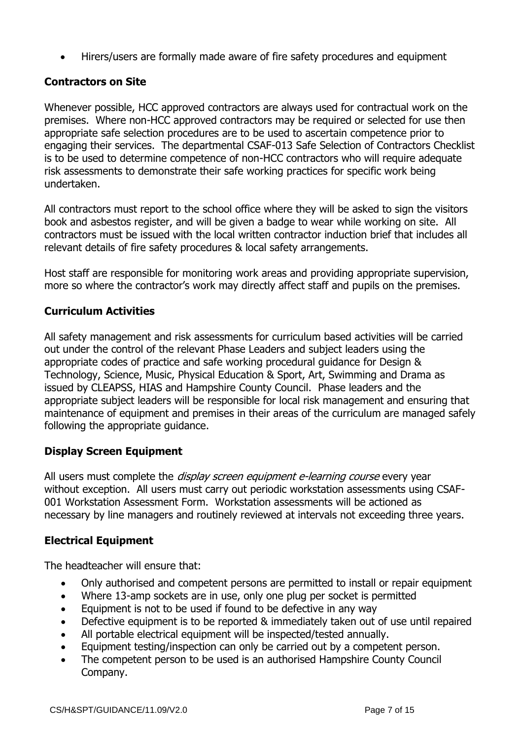Hirers/users are formally made aware of fire safety procedures and equipment

# **Contractors on Site**

Whenever possible, HCC approved contractors are always used for contractual work on the premises. Where non-HCC approved contractors may be required or selected for use then appropriate safe selection procedures are to be used to ascertain competence prior to engaging their services. The departmental CSAF-013 Safe Selection of Contractors Checklist is to be used to determine competence of non-HCC contractors who will require adequate risk assessments to demonstrate their safe working practices for specific work being undertaken.

All contractors must report to the school office where they will be asked to sign the visitors book and asbestos register, and will be given a badge to wear while working on site. All contractors must be issued with the local written contractor induction brief that includes all relevant details of fire safety procedures & local safety arrangements.

Host staff are responsible for monitoring work areas and providing appropriate supervision, more so where the contractor's work may directly affect staff and pupils on the premises.

## **Curriculum Activities**

All safety management and risk assessments for curriculum based activities will be carried out under the control of the relevant Phase Leaders and subject leaders using the appropriate codes of practice and safe working procedural guidance for Design & Technology, Science, Music, Physical Education & Sport, Art, Swimming and Drama as issued by CLEAPSS, HIAS and Hampshire County Council. Phase leaders and the appropriate subject leaders will be responsible for local risk management and ensuring that maintenance of equipment and premises in their areas of the curriculum are managed safely following the appropriate guidance.

## **Display Screen Equipment**

All users must complete the *display screen equipment e-learning course* every year without exception. All users must carry out periodic workstation assessments using CSAF-001 Workstation Assessment Form. Workstation assessments will be actioned as necessary by line managers and routinely reviewed at intervals not exceeding three years.

## **Electrical Equipment**

The headteacher will ensure that:

- Only authorised and competent persons are permitted to install or repair equipment
- Where 13-amp sockets are in use, only one plug per socket is permitted
- Equipment is not to be used if found to be defective in any way
- Defective equipment is to be reported & immediately taken out of use until repaired
- All portable electrical equipment will be inspected/tested annually.
- Equipment testing/inspection can only be carried out by a competent person.
- The competent person to be used is an authorised Hampshire County Council Company.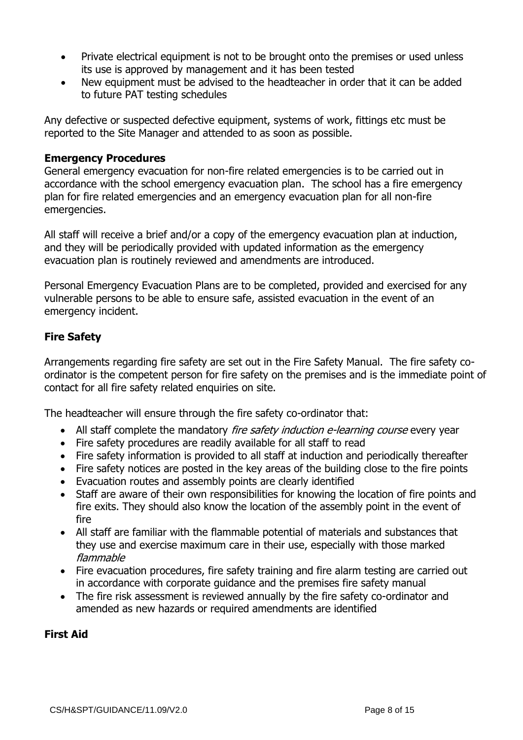- Private electrical equipment is not to be brought onto the premises or used unless its use is approved by management and it has been tested
- New equipment must be advised to the headteacher in order that it can be added to future PAT testing schedules

Any defective or suspected defective equipment, systems of work, fittings etc must be reported to the Site Manager and attended to as soon as possible.

#### **Emergency Procedures**

General emergency evacuation for non-fire related emergencies is to be carried out in accordance with the school emergency evacuation plan. The school has a fire emergency plan for fire related emergencies and an emergency evacuation plan for all non-fire emergencies.

All staff will receive a brief and/or a copy of the emergency evacuation plan at induction, and they will be periodically provided with updated information as the emergency evacuation plan is routinely reviewed and amendments are introduced.

Personal Emergency Evacuation Plans are to be completed, provided and exercised for any vulnerable persons to be able to ensure safe, assisted evacuation in the event of an emergency incident.

# **Fire Safety**

Arrangements regarding fire safety are set out in the Fire Safety Manual. The fire safety coordinator is the competent person for fire safety on the premises and is the immediate point of contact for all fire safety related enquiries on site.

The headteacher will ensure through the fire safety co-ordinator that:

- All staff complete the mandatory *fire safety induction e-learning course* every year
- Fire safety procedures are readily available for all staff to read
- Fire safety information is provided to all staff at induction and periodically thereafter
- Fire safety notices are posted in the key areas of the building close to the fire points
- Evacuation routes and assembly points are clearly identified
- Staff are aware of their own responsibilities for knowing the location of fire points and fire exits. They should also know the location of the assembly point in the event of fire
- All staff are familiar with the flammable potential of materials and substances that they use and exercise maximum care in their use, especially with those marked flammable
- Fire evacuation procedures, fire safety training and fire alarm testing are carried out in accordance with corporate guidance and the premises fire safety manual
- The fire risk assessment is reviewed annually by the fire safety co-ordinator and amended as new hazards or required amendments are identified

## **First Aid**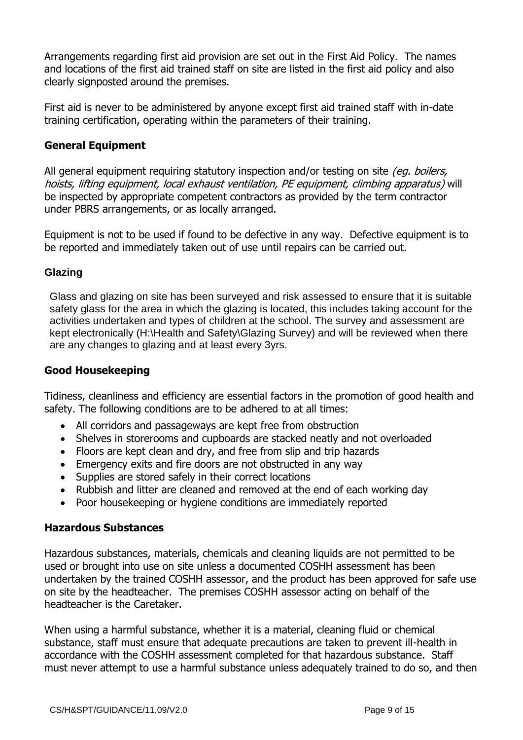Arrangements regarding first aid provision are set out in the First Aid Policy. The names and locations of the first aid trained staff on site are listed in the first aid policy and also clearly signposted around the premises.

First aid is never to be administered by anyone except first aid trained staff with in-date training certification, operating within the parameters of their training.

## **General Equipment**

All general equipment requiring statutory inspection and/or testing on site *(eq. boilers,* hoists, lifting equipment, local exhaust ventilation, PE equipment, climbing apparatus) will be inspected by appropriate competent contractors as provided by the term contractor under PBRS arrangements, or as locally arranged.

Equipment is not to be used if found to be defective in any way. Defective equipment is to be reported and immediately taken out of use until repairs can be carried out.

## **Glazing**

Glass and glazing on site has been surveyed and risk assessed to ensure that it is suitable safety glass for the area in which the glazing is located, this includes taking account for the activities undertaken and types of children at the school. The survey and assessment are kept electronically (H:\Health and Safety\Glazing Survey) and will be reviewed when there are any changes to glazing and at least every 3yrs.

## **Good Housekeeping**

Tidiness, cleanliness and efficiency are essential factors in the promotion of good health and safety. The following conditions are to be adhered to at all times:

- All corridors and passageways are kept free from obstruction
- Shelves in storerooms and cupboards are stacked neatly and not overloaded
- Floors are kept clean and dry, and free from slip and trip hazards
- Emergency exits and fire doors are not obstructed in any way
- Supplies are stored safely in their correct locations
- Rubbish and litter are cleaned and removed at the end of each working day
- Poor housekeeping or hygiene conditions are immediately reported

#### **Hazardous Substances**

Hazardous substances, materials, chemicals and cleaning liquids are not permitted to be used or brought into use on site unless a documented COSHH assessment has been undertaken by the trained COSHH assessor, and the product has been approved for safe use on site by the headteacher. The premises COSHH assessor acting on behalf of the headteacher is the Caretaker.

When using a harmful substance, whether it is a material, cleaning fluid or chemical substance, staff must ensure that adequate precautions are taken to prevent ill-health in accordance with the COSHH assessment completed for that hazardous substance. Staff must never attempt to use a harmful substance unless adequately trained to do so, and then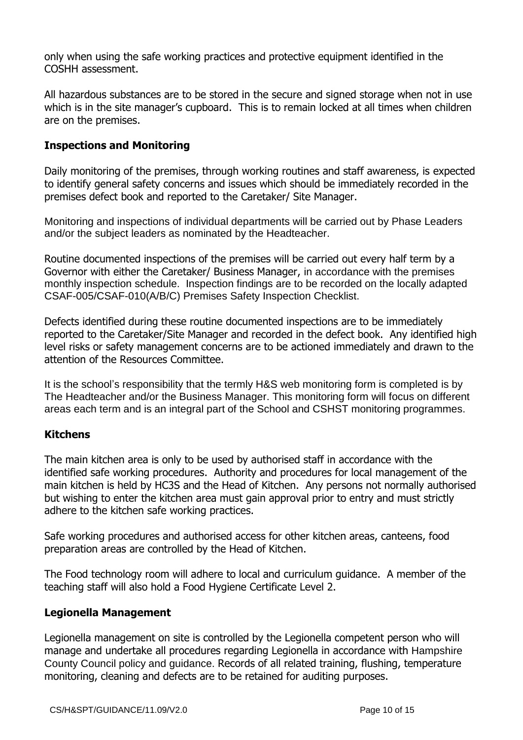only when using the safe working practices and protective equipment identified in the COSHH assessment.

All hazardous substances are to be stored in the secure and signed storage when not in use which is in the site manager's cupboard. This is to remain locked at all times when children are on the premises.

## **Inspections and Monitoring**

Daily monitoring of the premises, through working routines and staff awareness, is expected to identify general safety concerns and issues which should be immediately recorded in the premises defect book and reported to the Caretaker/ Site Manager.

Monitoring and inspections of individual departments will be carried out by Phase Leaders and/or the subject leaders as nominated by the Headteacher.

Routine documented inspections of the premises will be carried out every half term by a Governor with either the Caretaker/ Business Manager, in accordance with the premises monthly inspection schedule. Inspection findings are to be recorded on the locally adapted CSAF-005/CSAF-010(A/B/C) Premises Safety Inspection Checklist.

Defects identified during these routine documented inspections are to be immediately reported to the Caretaker/Site Manager and recorded in the defect book. Any identified high level risks or safety management concerns are to be actioned immediately and drawn to the attention of the Resources Committee.

It is the school's responsibility that the termly H&S web monitoring form is completed is by The Headteacher and/or the Business Manager. This monitoring form will focus on different areas each term and is an integral part of the School and CSHST monitoring programmes.

## **Kitchens**

The main kitchen area is only to be used by authorised staff in accordance with the identified safe working procedures. Authority and procedures for local management of the main kitchen is held by HC3S and the Head of Kitchen. Any persons not normally authorised but wishing to enter the kitchen area must gain approval prior to entry and must strictly adhere to the kitchen safe working practices.

Safe working procedures and authorised access for other kitchen areas, canteens, food preparation areas are controlled by the Head of Kitchen.

The Food technology room will adhere to local and curriculum guidance. A member of the teaching staff will also hold a Food Hygiene Certificate Level 2.

#### **Legionella Management**

Legionella management on site is controlled by the Legionella competent person who will manage and undertake all procedures regarding Legionella in accordance with Hampshire County Council policy and guidance. Records of all related training, flushing, temperature monitoring, cleaning and defects are to be retained for auditing purposes.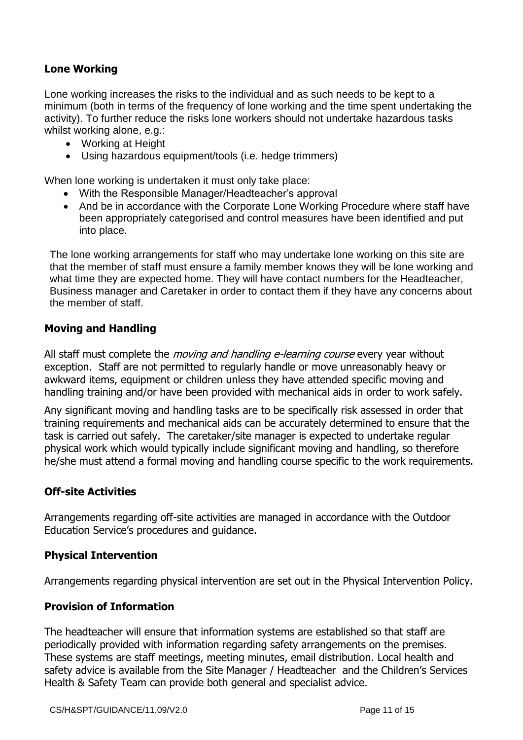## **Lone Working**

Lone working increases the risks to the individual and as such needs to be kept to a minimum (both in terms of the frequency of lone working and the time spent undertaking the activity). To further reduce the risks lone workers should not undertake hazardous tasks whilst working alone, e.g.:

- Working at Height
- Using hazardous equipment/tools (i.e. hedge trimmers)

When lone working is undertaken it must only take place:

- With the Responsible Manager/Headteacher's approval
- And be in accordance with the Corporate Lone Working Procedure where staff have been appropriately categorised and control measures have been identified and put into place.

The lone working arrangements for staff who may undertake lone working on this site are that the member of staff must ensure a family member knows they will be lone working and what time they are expected home. They will have contact numbers for the Headteacher, Business manager and Caretaker in order to contact them if they have any concerns about the member of staff.

## **Moving and Handling**

All staff must complete the *moving and handling e-learning course* every year without exception. Staff are not permitted to regularly handle or move unreasonably heavy or awkward items, equipment or children unless they have attended specific moving and handling training and/or have been provided with mechanical aids in order to work safely.

Any significant moving and handling tasks are to be specifically risk assessed in order that training requirements and mechanical aids can be accurately determined to ensure that the task is carried out safely. The caretaker/site manager is expected to undertake regular physical work which would typically include significant moving and handling, so therefore he/she must attend a formal moving and handling course specific to the work requirements.

## **Off-site Activities**

Arrangements regarding off-site activities are managed in accordance with the Outdoor Education Service's procedures and guidance.

## **Physical Intervention**

Arrangements regarding physical intervention are set out in the Physical Intervention Policy.

## **Provision of Information**

The headteacher will ensure that information systems are established so that staff are periodically provided with information regarding safety arrangements on the premises. These systems are staff meetings, meeting minutes, email distribution. Local health and safety advice is available from the Site Manager / Headteacher and the Children's Services Health & Safety Team can provide both general and specialist advice.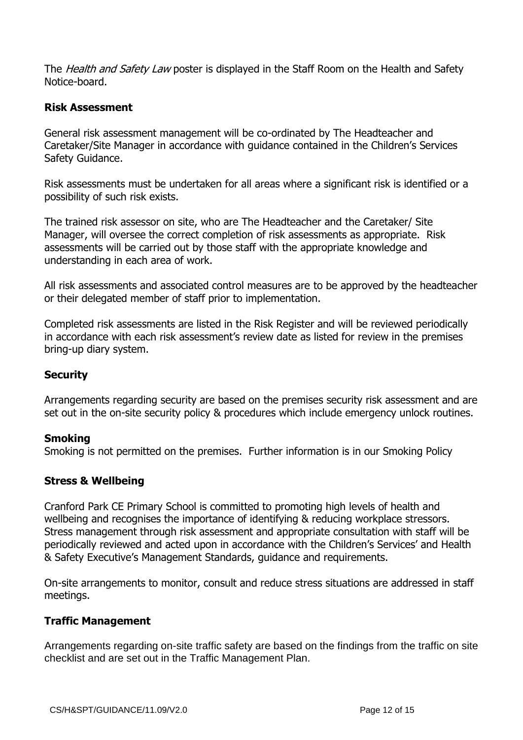The *Health and Safety Law* poster is displayed in the Staff Room on the Health and Safety Notice-board.

## **Risk Assessment**

General risk assessment management will be co-ordinated by The Headteacher and Caretaker/Site Manager in accordance with guidance contained in the Children's Services Safety Guidance.

Risk assessments must be undertaken for all areas where a significant risk is identified or a possibility of such risk exists.

The trained risk assessor on site, who are The Headteacher and the Caretaker/ Site Manager, will oversee the correct completion of risk assessments as appropriate. Risk assessments will be carried out by those staff with the appropriate knowledge and understanding in each area of work.

All risk assessments and associated control measures are to be approved by the headteacher or their delegated member of staff prior to implementation.

Completed risk assessments are listed in the Risk Register and will be reviewed periodically in accordance with each risk assessment's review date as listed for review in the premises bring-up diary system.

## **Security**

Arrangements regarding security are based on the premises security risk assessment and are set out in the on-site security policy & procedures which include emergency unlock routines.

## **Smoking**

Smoking is not permitted on the premises. Further information is in our Smoking Policy

## **Stress & Wellbeing**

Cranford Park CE Primary School is committed to promoting high levels of health and wellbeing and recognises the importance of identifying & reducing workplace stressors. Stress management through risk assessment and appropriate consultation with staff will be periodically reviewed and acted upon in accordance with the Children's Services' and Health & Safety Executive's Management Standards, guidance and requirements.

On-site arrangements to monitor, consult and reduce stress situations are addressed in staff meetings.

## **Traffic Management**

Arrangements regarding on-site traffic safety are based on the findings from the traffic on site checklist and are set out in the Traffic Management Plan.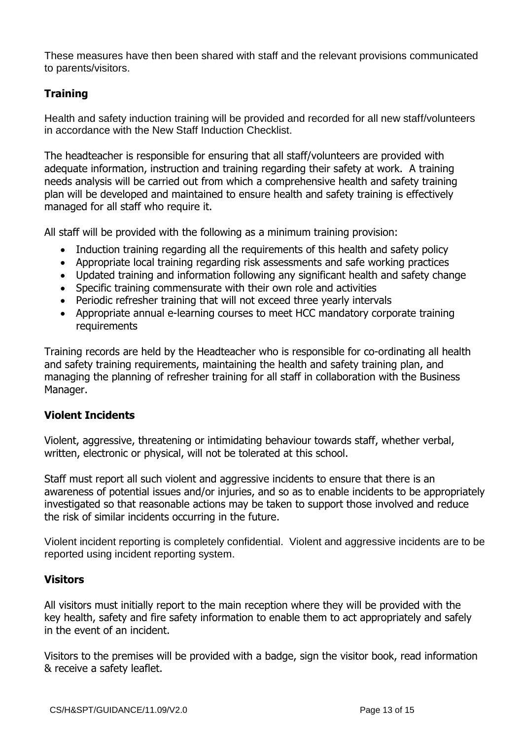These measures have then been shared with staff and the relevant provisions communicated to parents/visitors.

# **Training**

Health and safety induction training will be provided and recorded for all new staff/volunteers in accordance with the New Staff Induction Checklist.

The headteacher is responsible for ensuring that all staff/volunteers are provided with adequate information, instruction and training regarding their safety at work. A training needs analysis will be carried out from which a comprehensive health and safety training plan will be developed and maintained to ensure health and safety training is effectively managed for all staff who require it.

All staff will be provided with the following as a minimum training provision:

- Induction training regarding all the requirements of this health and safety policy
- Appropriate local training regarding risk assessments and safe working practices
- Updated training and information following any significant health and safety change
- Specific training commensurate with their own role and activities
- Periodic refresher training that will not exceed three yearly intervals
- Appropriate annual e-learning courses to meet HCC mandatory corporate training requirements

Training records are held by the Headteacher who is responsible for co-ordinating all health and safety training requirements, maintaining the health and safety training plan, and managing the planning of refresher training for all staff in collaboration with the Business Manager.

## **Violent Incidents**

Violent, aggressive, threatening or intimidating behaviour towards staff, whether verbal, written, electronic or physical, will not be tolerated at this school.

Staff must report all such violent and aggressive incidents to ensure that there is an awareness of potential issues and/or injuries, and so as to enable incidents to be appropriately investigated so that reasonable actions may be taken to support those involved and reduce the risk of similar incidents occurring in the future.

Violent incident reporting is completely confidential. Violent and aggressive incidents are to be reported using incident reporting system.

## **Visitors**

All visitors must initially report to the main reception where they will be provided with the key health, safety and fire safety information to enable them to act appropriately and safely in the event of an incident.

Visitors to the premises will be provided with a badge, sign the visitor book, read information & receive a safety leaflet.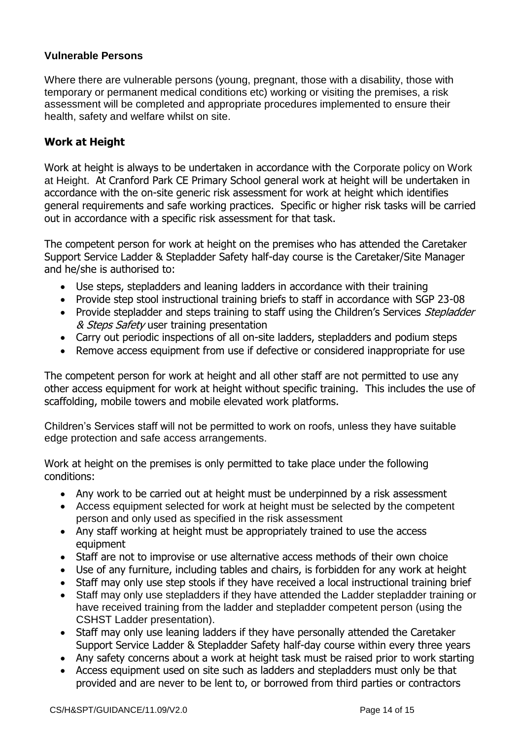#### **Vulnerable Persons**

Where there are vulnerable persons (young, pregnant, those with a disability, those with temporary or permanent medical conditions etc) working or visiting the premises, a risk assessment will be completed and appropriate procedures implemented to ensure their health, safety and welfare whilst on site.

#### **Work at Height**

Work at height is always to be undertaken in accordance with the Corporate policy on Work at Height. At Cranford Park CE Primary School general work at height will be undertaken in accordance with the on-site generic risk assessment for work at height which identifies general requirements and safe working practices. Specific or higher risk tasks will be carried out in accordance with a specific risk assessment for that task.

The competent person for work at height on the premises who has attended the Caretaker Support Service Ladder & Stepladder Safety half-day course is the Caretaker/Site Manager and he/she is authorised to:

- Use steps, stepladders and leaning ladders in accordance with their training
- Provide step stool instructional training briefs to staff in accordance with SGP 23-08
- Provide stepladder and steps training to staff using the Children's Services Stepladder & Steps Safety user training presentation
- Carry out periodic inspections of all on-site ladders, stepladders and podium steps
- Remove access equipment from use if defective or considered inappropriate for use

The competent person for work at height and all other staff are not permitted to use any other access equipment for work at height without specific training. This includes the use of scaffolding, mobile towers and mobile elevated work platforms.

Children's Services staff will not be permitted to work on roofs, unless they have suitable edge protection and safe access arrangements.

Work at height on the premises is only permitted to take place under the following conditions:

- Any work to be carried out at height must be underpinned by a risk assessment
- Access equipment selected for work at height must be selected by the competent person and only used as specified in the risk assessment
- Any staff working at height must be appropriately trained to use the access equipment
- Staff are not to improvise or use alternative access methods of their own choice
- Use of any furniture, including tables and chairs, is forbidden for any work at height
- Staff may only use step stools if they have received a local instructional training brief
- Staff may only use stepladders if they have attended the Ladder stepladder training or have received training from the ladder and stepladder competent person (using the CSHST Ladder presentation).
- Staff may only use leaning ladders if they have personally attended the Caretaker Support Service Ladder & Stepladder Safety half-day course within every three years
- Any safety concerns about a work at height task must be raised prior to work starting
- Access equipment used on site such as ladders and stepladders must only be that provided and are never to be lent to, or borrowed from third parties or contractors